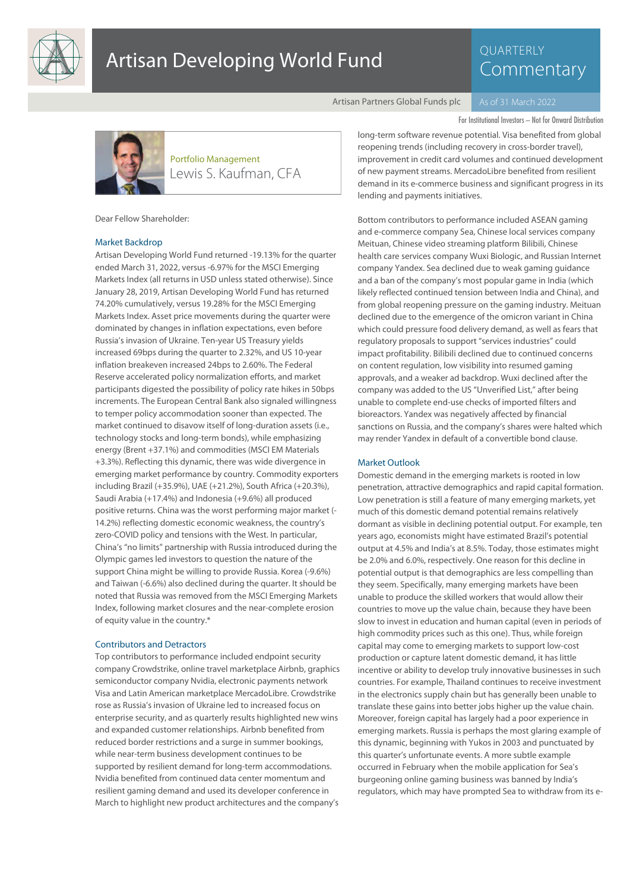

# Artisan Developing World Fund

# **QUARTERLY** Commentary

Artisan Partners Global Funds plc

For Institutional Investors – Not for Onward Distribution



Lewis S. Kaufman, CFA Portfolio Management

Dear Fellow Shareholder:

#### Market Backdrop

Artisan Developing World Fund returned -19.13% for the quarter ended March 31, 2022, versus -6.97% for the MSCI Emerging Markets Index (all returns in USD unless stated otherwise). Since January 28, 2019, Artisan Developing World Fund has returned 74.20% cumulatively, versus 19.28% for the MSCI Emerging Markets Index. Asset price movements during the quarter were dominated by changes in inflation expectations, even before Russia's invasion of Ukraine. Ten-year US Treasury yields increased 69bps during the quarter to 2.32%, and US 10-year inflation breakeven increased 24bps to 2.60%. The Federal Reserve accelerated policy normalization efforts, and market participants digested the possibility of policy rate hikes in 50bps increments. The European Central Bank also signaled willingness to temper policy accommodation sooner than expected. The market continued to disavow itself of long-duration assets (i.e., technology stocks and long-term bonds), while emphasizing energy (Brent +37.1%) and commodities (MSCI EM Materials +3.3%). Reflecting this dynamic, there was wide divergence in emerging market performance by country. Commodity exporters including Brazil (+35.9%), UAE (+21.2%), South Africa (+20.3%), Saudi Arabia (+17.4%) and Indonesia (+9.6%) all produced positive returns. China was the worst performing major market (- 14.2%) reflecting domestic economic weakness, the country's zero-COVID policy and tensions with the West. In particular, China's "no limits" partnership with Russia introduced during the Olympic games led investors to question the nature of the support China might be willing to provide Russia. Korea (-9.6%) and Taiwan (-6.6%) also declined during the quarter. It should be noted that Russia was removed from the MSCI Emerging Markets Index, following market closures and the near-complete erosion of equity value in the country.\*

## Contributors and Detractors

Top contributors to performance included endpoint security company Crowdstrike, online travel marketplace Airbnb, graphics semiconductor company Nvidia, electronic payments network Visa and Latin American marketplace MercadoLibre. Crowdstrike rose as Russia's invasion of Ukraine led to increased focus on enterprise security, and as quarterly results highlighted new wins and expanded customer relationships. Airbnb benefited from reduced border restrictions and a surge in summer bookings, while near-term business development continues to be supported by resilient demand for long-term accommodations. Nvidia benefited from continued data center momentum and resilient gaming demand and used its developer conference in March to highlight new product architectures and the company's

long-term software revenue potential. Visa benefited from global reopening trends (including recovery in cross-border travel), improvement in credit card volumes and continued development of new payment streams. MercadoLibre benefited from resilient demand in its e-commerce business and significant progress in its lending and payments initiatives.

Bottom contributors to performance included ASEAN gaming and e-commerce company Sea, Chinese local services company Meituan, Chinese video streaming platform Bilibili, Chinese health care services company Wuxi Biologic, and Russian Internet company Yandex. Sea declined due to weak gaming guidance and a ban of the company's most popular game in India (which likely reflected continued tension between India and China), and from global reopening pressure on the gaming industry. Meituan declined due to the emergence of the omicron variant in China which could pressure food delivery demand, as well as fears that regulatory proposals to support "services industries" could impact profitability. Bilibili declined due to continued concerns on content regulation, low visibility into resumed gaming approvals, and a weaker ad backdrop. Wuxi declined after the company was added to the US "Unverified List," after being unable to complete end-use checks of imported filters and bioreactors. Yandex was negatively affected by financial sanctions on Russia, and the company's shares were halted which may render Yandex in default of a convertible bond clause.

#### Market Outlook

Domestic demand in the emerging markets is rooted in low penetration, attractive demographics and rapid capital formation. Low penetration is still a feature of many emerging markets, yet much of this domestic demand potential remains relatively dormant as visible in declining potential output. For example, ten years ago, economists might have estimated Brazil's potential output at 4.5% and India's at 8.5%. Today, those estimates might be 2.0% and 6.0%, respectively. One reason for this decline in potential output is that demographics are less compelling than they seem. Specifically, many emerging markets have been unable to produce the skilled workers that would allow their countries to move up the value chain, because they have been slow to invest in education and human capital (even in periods of high commodity prices such as this one). Thus, while foreign capital may come to emerging markets to support low-cost production or capture latent domestic demand, it has little incentive or ability to develop truly innovative businesses in such countries. For example, Thailand continues to receive investment in the electronics supply chain but has generally been unable to translate these gains into better jobs higher up the value chain. Moreover, foreign capital has largely had a poor experience in emerging markets. Russia is perhaps the most glaring example of this dynamic, beginning with Yukos in 2003 and punctuated by this quarter's unfortunate events. A more subtle example occurred in February when the mobile application for Sea's burgeoning online gaming business was banned by India's regulators, which may have prompted Sea to withdraw from its e-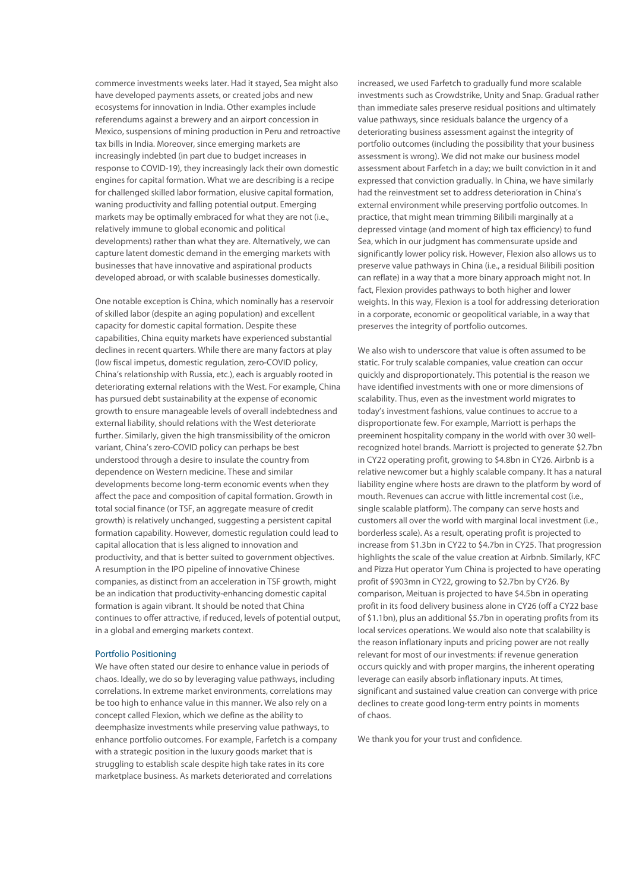commerce investments weeks later. Had it stayed, Sea might also have developed payments assets, or created jobs and new ecosystems for innovation in India. Other examples include referendums against a brewery and an airport concession in Mexico, suspensions of mining production in Peru and retroactive tax bills in India. Moreover, since emerging markets are increasingly indebted (in part due to budget increases in response to COVID-19), they increasingly lack their own domestic engines for capital formation. What we are describing is a recipe for challenged skilled labor formation, elusive capital formation, waning productivity and falling potential output. Emerging markets may be optimally embraced for what they are not (i.e., relatively immune to global economic and political developments) rather than what they are. Alternatively, we can capture latent domestic demand in the emerging markets with businesses that have innovative and aspirational products developed abroad, or with scalable businesses domestically.

One notable exception is China, which nominally has a reservoir of skilled labor (despite an aging population) and excellent capacity for domestic capital formation. Despite these capabilities, China equity markets have experienced substantial declines in recent quarters. While there are many factors at play (low fiscal impetus, domestic regulation, zero-COVID policy, China's relationship with Russia, etc.), each is arguably rooted in deteriorating external relations with the West. For example, China has pursued debt sustainability at the expense of economic growth to ensure manageable levels of overall indebtedness and external liability, should relations with the West deteriorate further. Similarly, given the high transmissibility of the omicron variant, China's zero-COVID policy can perhaps be best understood through a desire to insulate the country from dependence on Western medicine. These and similar developments become long-term economic events when they affect the pace and composition of capital formation. Growth in total social finance (or TSF, an aggregate measure of credit growth) is relatively unchanged, suggesting a persistent capital formation capability. However, domestic regulation could lead to capital allocation that is less aligned to innovation and productivity, and that is better suited to government objectives. A resumption in the IPO pipeline of innovative Chinese companies, as distinct from an acceleration in TSF growth, might be an indication that productivity-enhancing domestic capital formation is again vibrant. It should be noted that China continues to offer attractive, if reduced, levels of potential output, in a global and emerging markets context.

# Portfolio Positioning

We have often stated our desire to enhance value in periods of chaos. Ideally, we do so by leveraging value pathways, including correlations. In extreme market environments, correlations may be too high to enhance value in this manner. We also rely on a concept called Flexion, which we define as the ability to deemphasize investments while preserving value pathways, to enhance portfolio outcomes. For example, Farfetch is a company with a strategic position in the luxury goods market that is struggling to establish scale despite high take rates in its core marketplace business. As markets deteriorated and correlations

increased, we used Farfetch to gradually fund more scalable investments such as Crowdstrike, Unity and Snap. Gradual rather than immediate sales preserve residual positions and ultimately value pathways, since residuals balance the urgency of a deteriorating business assessment against the integrity of portfolio outcomes (including the possibility that your business assessment is wrong). We did not make our business model assessment about Farfetch in a day; we built conviction in it and expressed that conviction gradually. In China, we have similarly had the reinvestment set to address deterioration in China's external environment while preserving portfolio outcomes. In practice, that might mean trimming Bilibili marginally at a depressed vintage (and moment of high tax efficiency) to fund Sea, which in our judgment has commensurate upside and significantly lower policy risk. However, Flexion also allows us to preserve value pathways in China (i.e., a residual Bilibili position can reflate) in a way that a more binary approach might not. In fact, Flexion provides pathways to both higher and lower weights. In this way, Flexion is a tool for addressing deterioration in a corporate, economic or geopolitical variable, in a way that preserves the integrity of portfolio outcomes.

We also wish to underscore that value is often assumed to be static. For truly scalable companies, value creation can occur quickly and disproportionately. This potential is the reason we have identified investments with one or more dimensions of scalability. Thus, even as the investment world migrates to today's investment fashions, value continues to accrue to a disproportionate few. For example, Marriott is perhaps the preeminent hospitality company in the world with over 30 wellrecognized hotel brands. Marriott is projected to generate \$2.7bn in CY22 operating profit, growing to \$4.8bn in CY26. Airbnb is a relative newcomer but a highly scalable company. It has a natural liability engine where hosts are drawn to the platform by word of mouth. Revenues can accrue with little incremental cost (i.e., single scalable platform). The company can serve hosts and customers all over the world with marginal local investment (i.e., borderless scale). As a result, operating profit is projected to increase from \$1.3bn in CY22 to \$4.7bn in CY25. That progression highlights the scale of the value creation at Airbnb. Similarly, KFC and Pizza Hut operator Yum China is projected to have operating profit of \$903mn in CY22, growing to \$2.7bn by CY26. By comparison, Meituan is projected to have \$4.5bn in operating profit in its food delivery business alone in CY26 (off a CY22 base of \$1.1bn), plus an additional \$5.7bn in operating profits from its local services operations. We would also note that scalability is the reason inflationary inputs and pricing power are not really relevant for most of our investments: if revenue generation occurs quickly and with proper margins, the inherent operating leverage can easily absorb inflationary inputs. At times, significant and sustained value creation can converge with price declines to create good long-term entry points in moments of chaos.

We thank you for your trust and confidence.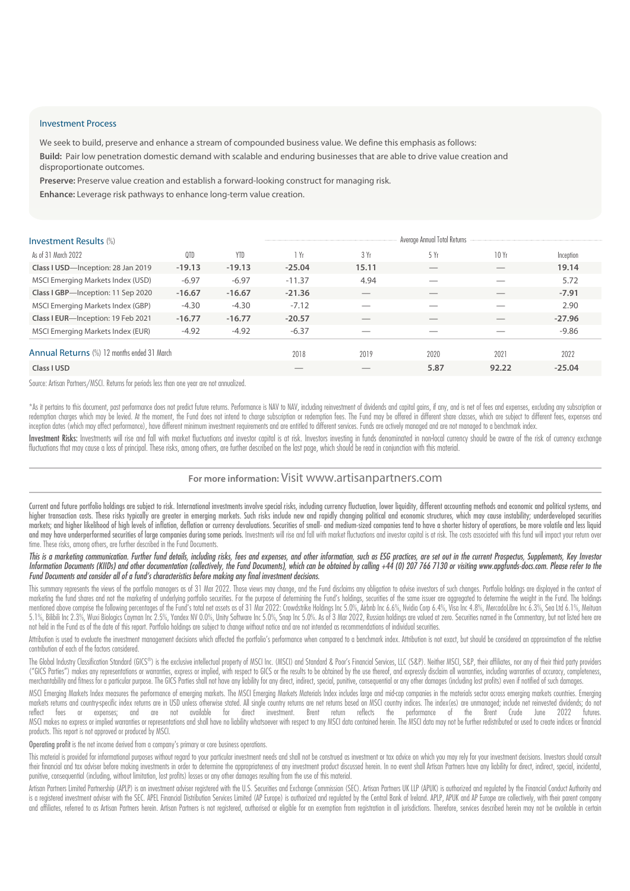## Investment Process

We seek to build, preserve and enhance a stream of compounded business value. We define this emphasis as follows: **Build:** Pair low penetration domestic demand with scalable and enduring businesses that are able to drive value creation and disproportionate outcomes.

**Preserve:** Preserve value creation and establish a forward-looking construct for managing risk. **Enhance:** Leverage risk pathways to enhance long-term value creation.

| <b>Investment Results (%)</b>               | Average Annual Total Returns |            |          |       |                          |                          |           |
|---------------------------------------------|------------------------------|------------|----------|-------|--------------------------|--------------------------|-----------|
| As of 31 March 2022                         | 0TD                          | <b>YTD</b> | 1 Yr     | 3 Yr  | 5 Yr                     | 10Yr                     | Inception |
| Class I USD-Inception: 28 Jan 2019          | $-19.13$                     | $-19.13$   | $-25.04$ | 15.11 | $\overline{\phantom{a}}$ | $\overline{\phantom{a}}$ | 19.14     |
| MSCI Emerging Markets Index (USD)           | $-6.97$                      | $-6.97$    | $-11.37$ | 4.94  |                          |                          | 5.72      |
| Class I GBP-Inception: 11 Sep 2020          | $-16.67$                     | $-16.67$   | $-21.36$ |       |                          |                          | $-7.91$   |
| MSCI Emerging Markets Index (GBP)           | $-4.30$                      | $-4.30$    | $-7.12$  |       |                          |                          | 2.90      |
| Class I EUR-Inception: 19 Feb 2021          | $-16.77$                     | $-16.77$   | $-20.57$ |       |                          |                          | $-27.96$  |
| MSCI Emerging Markets Index (EUR)           | $-4.92$                      | $-4.92$    | $-6.37$  | __    |                          |                          | $-9.86$   |
| Annual Returns (%) 12 months ended 31 March |                              |            | 2018     | 2019  | 2020                     | 2021                     | 2022      |
| Class I USD                                 |                              |            |          |       | 5.87                     | 92.22                    | $-25.04$  |

Source: Artisan Partners/MSCI. Returns for periods less than one year are not annualized.

\*As it pertains to this document, past performance does not predict future returns. Performance is NAV to NAV, including reinvestment of dividends and capital gains, if any, and is net of fees and expenses, excluding any s redemption charges which may be levied. At the moment, the Fund does not intend to charge subscription or redemption fees. The Fund may be offered in different share classes, which are subject to different fees, expenses a inception dates (which may affect performance), have different minimum investment requirements and are entitled to different services. Funds are actively managed and are not managed to a benchmark index.

Investment Risks: Investments will rise and fall with market fluctuations and investor capital is at risk. Investors investing in funds denominated in non-local currency should be aware of the risk of currency exchange fluctuations that may cause a loss of principal. These risks, among others, are further described on the last page, which should be read in conjunction with this material.

# **For more information:** Visit www.artisanpartners.com

Current and future portfolio holdings are subject to risk. International investments involve special risks, including currency fluctuation, lower liquidity, different accounting methods and economic and political systems, higher transaction costs. These risks typically are greater in emerging markets. Such risks include new and rapidly changing political and economic structures, which may cause instability; underdeveloped securities markets; and higher likelihood of high levels of inflation, deflation or currency devaluations. Securities of small- and medium-sized companies tend to have a shorter history of operations, be more volatile and less liquid and may have underperformed securities of large companies during some periods. Investments will rise and fall with market fluctuations and investor capital is at risk. The costs associated with this fund will impact your r time. These risks, among others, are further described in the Fund Documents.

This is a marketing communication. Further fund details, including risks, fees and expenses, and other information, such as ESG practices, are set out in the current Prospectus, Supplements, Key Investor Information Documents (KIIDs) and other documentation (collectively, the Fund Documents), which can be obtained by calling +44 (0) 207 766 7130 or visiting www.apgfunds-docs.com. Please refer to the Fund Documents and consider all of a fund's characteristics before making any final investment decisions.

This summary represents the views of the portfolio managers as of 31 Mar 2022. Those views may change, and the Fund disclaims any obligation to advise investors of such changes. Portfolio holdings are displayed in the cont marketing the fund shares and not the marketing of underlying portfolio securities. For the purpose of determining the Fund's holdings, securities of the same issuer are aggregated to determine the weight in the Fund. The mentioned above comprise the following percentages of the Fund's total net assets as of 31 Mar 2022: Crowdstrike Holdings Inc 5.0%, Airbnb Inc 6.6%, Nvidia Corp 6.4%, Visa Inc 4.8%, MercadoLibre Inc 6.3%, Sea Ltd 6.1%, Mei 5.1%, Bilibili Inc 2.3%, Wuxi Biologics Cayman Inc 2.5%, Yandex NV 0.0%, Unity Software Inc 5.0%, Snap Inc 5.0%. As of 3 Mar 2022, Russian holdings are valued at zero. Securities named in the Commentary, but not listed her not held in the Fund as of the date of this report. Portfolio holdings are subject to change without notice and are not intended as recommendations of individual securities.

Attribution is used to evaluate the investment management decisions which affected the portfolio's performance when compared to a benchmark index. Attribution is not exact, but should be considered an approximation of the contribution of each of the factors considered.

The Global Industry Classification Standard (GICS®) is the exclusive intellectual property of MSCI Inc. (MSCI) and Standard & Poor's Financial Services, LLC (S&P). Neither MSCI, S&P, their affiliates, nor any of their thir ("GICS Parties") makes any representations or warranties, express or implied, with respect to GICS or the results to be obtained by the use thereof, and expressly disclaim all warranties, including warranties of accuracy, merchantability and fitness for a particular purpose. The GICS Parties shall not have any liability for any direct, indirect, special, punitive, consequential or any other damages (including lost profits) even if notified

MSCI Emerging Markets Index measures the performance of emerging markets. The MSCI Emerging Markets Materials Index includes large and mid-cap companies in the materials sector across emerging markets countries. Emerging markets returns and country-specific index returns are in USD unless otherwise stated. All single country returns are net returns bosed on MSCI country indices. The index(es) are unmanaged; include net reinvested dividends fees or expenses; and are not available for direct investment. Brent return reflects the MSCI makes no express or implied warranties or representations and shall have no liability whatsoever with respect to any MSCI data contained herein. The MSCI data may not be further redistributed or used to create indices products. This report is not approved or produced by MSCI.

Operating profit is the net income derived from a company's primary or core business operations.

This material is provided for informational purposes without regard to your particular investment needs and shall not be construed as investment or tax advice on which you may rely for your investment decisions. Investors their financial and tax adviser before making investments in order to determine the appropriateness of any investment product discussed herein. In no event shall Artisan Partners have any liability for direct, indirect, sp punitive, consequential (including, without limitation, lost profits) losses or any other damages resulting from the use of this material.

Artisan Partners Limited Partnership (APLP) is an investment adviser registered with the U.S. Securities and Exchange Commission (SEC). Artisan Partners UK LLP (APUK) is authorized and regulated by the Financial Conduct Au is a registered investment adviser with the SEC. APEL Financial Distribution Services Limited (AP Europe) is authorized and regulated by the Central Bank of Ireland. APLP, APUK and AP Europe are collectively, with their pa and affiliates, referred to as Artisan Partners herein. Artisan Partners is not registered, authorised or eligible for an exemption from registration in all jurisdictions. Therefore, services described herein may not be av